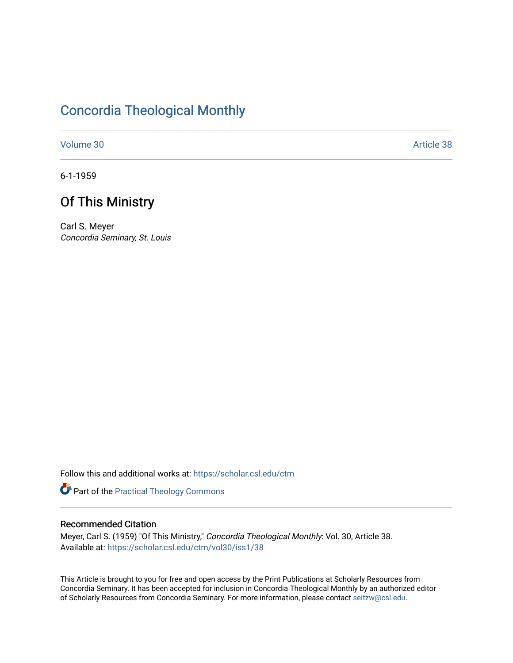# [Concordia Theological Monthly](https://scholar.csl.edu/ctm)

[Volume 30](https://scholar.csl.edu/ctm/vol30) Article 38

6-1-1959

# Of This Ministry

Carl S. Meyer Concordia Seminary, St. Louis

Follow this and additional works at: [https://scholar.csl.edu/ctm](https://scholar.csl.edu/ctm?utm_source=scholar.csl.edu%2Fctm%2Fvol30%2Fiss1%2F38&utm_medium=PDF&utm_campaign=PDFCoverPages)

Part of the [Practical Theology Commons](http://network.bepress.com/hgg/discipline/1186?utm_source=scholar.csl.edu%2Fctm%2Fvol30%2Fiss1%2F38&utm_medium=PDF&utm_campaign=PDFCoverPages)

## Recommended Citation

Meyer, Carl S. (1959) "Of This Ministry," Concordia Theological Monthly: Vol. 30, Article 38. Available at: [https://scholar.csl.edu/ctm/vol30/iss1/38](https://scholar.csl.edu/ctm/vol30/iss1/38?utm_source=scholar.csl.edu%2Fctm%2Fvol30%2Fiss1%2F38&utm_medium=PDF&utm_campaign=PDFCoverPages) 

This Article is brought to you for free and open access by the Print Publications at Scholarly Resources from Concordia Seminary. It has been accepted for inclusion in Concordia Theological Monthly by an authorized editor of Scholarly Resources from Concordia Seminary. For more information, please contact [seitzw@csl.edu](mailto:seitzw@csl.edu).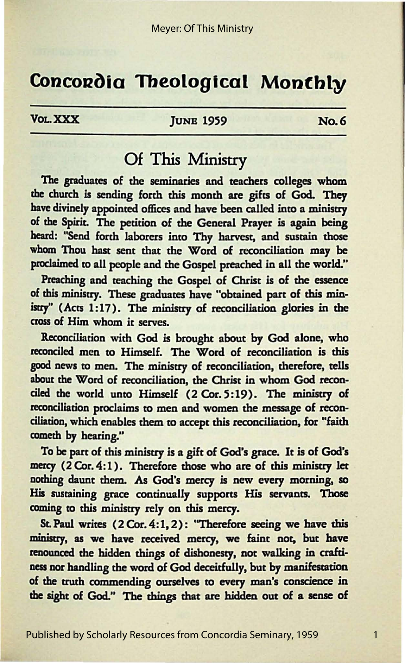# **Concordia Theological Monthly**

VOL. XXX **IUNB** 1959 No. 6

## Of This Ministry

The graduates of the seminaries and teachers colleges whom the church is sending forth this month are gifts of God. They have divinely appointed offices and have been called into a ministry of the Spirit. The petition of the General Prayer is again being beard: "Send forth laborers into Thy harvest, and sustain those whom Thou hast sent that the Word of reconciliation may be proclaimed to all people and the Gospel preached in all the world."

Preaching and teaching the Gospel of Christ is of the essence of this ministry. These graduates have "obtained part of this ministry" (Acts 1:17). The ministry of reconciliation glories in the cross of Him whom it serves.

Reconciliation with God is brought about by God alone, who reconciled men to Himself. The Word of reconciliation is this good news to men. The ministry of reconciliation, therefore, tells about the Word of reconciliation, the Christ in whom God reconciled the world unto Himself (2 Cor. 5:19). The ministry of reconciliation proclaims to men and women the message of reconciliation, which enables them to accept this reconciliation, for "faith cometh by hearing."

To be part of this ministry is a gift of God's grace. It is of God's mercy (2 Cor.4:1). Therefore those who are of this ministry let nothing daunt them. As God's mercy is new every morning, so His sustaining grace continually supports His servants. Those coming to this ministry rely on this mercy.

St. Paul writes (2 Cor. 4:1, 2): "Therefore seeing we have this ministry, **as we** have received mercy, we faint not, but have renounced the hidden things of dishonesty, not walking in craftiness nor handling the word of God deceitfully, but by manifestation of the truth commending ourselves to every man's conscience in the sight of God." The things that are hidden out of **a sense** of

1